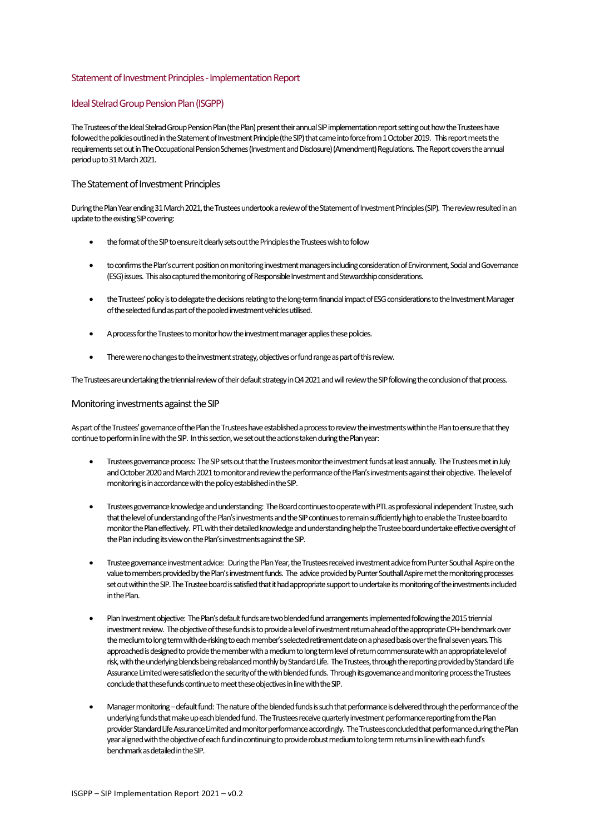## Statement of Investment Principles -Implementation Report

### Ideal Stelrad Group Pension Plan (ISGPP)

The Trustees of the Ideal Stelrad Group Pension Plan (the Plan) present their annual SIP implementation report setting out how the Trustees have followed the policies outlined in the Statement of Investment Principle (the SIP) that came into force from 1 October 2019. This report meets the requirements set out in The Occupational Pension Schemes (Investment and Disclosure) (Amendment) Regulations. The Reportcovers the annual period up to 31 March 2021.

## The Statement of Investment Principles

During the Plan Year ending 31 March 2021, the Trustees undertook a review of the Statement of Investment Principles (SIP). The review resulted in an update to the existing SIP covering:

- the format of the SIP to ensure it clearly sets out the Principles the Trustees wish to follow
- to confirms the Plan'scurrent position on monitoring investment managers including consideration of Environment, Social and Governance (ESG) issues. This also captured the monitoring of Responsible Investment and Stewardship considerations.
- the Trustees' policy is to delegate the decisions relating to the long-term financial impact of ESG considerations to the Investment Manager of the selected fund as part of the pooled investment vehicles utilised.
- A process for the Trustees to monitor how the investment manager applies these policies.
- There were no changes to the investment strategy, objectives or fund range as part of this review.

The Trustees are undertaking the triennial review of their default strategy in Q4 2021 and will review the SIP following the conclusion of that process.

### Monitoring investments against the SIP

As part of the Trustees' governance of the Plan the Trustees have established a process to review the investments within the Plan to ensure that they continue to perform in line with the SIP. In this section, we set out the actions taken during the Planyear:

- Trusteesgovernance process: The SIP sets out that the Trustees monitor the investment funds at least annually. The Trusteesmet in July and October 2020 and March 2021 to monitor and review the performance of the Plan's investments against their objective. The level of monitoring is in accordancewith the policyestablished in the SIP.
- Trusteesgovernance knowledge and understanding: The Board continues to operatewith PTL as professional independent Trustee, such that the level of understanding of the Plan's investmentsand the SIP continues toremain sufficiently high to enable the Trustee board to monitor the Plan effectively. PTL with their detailed knowledge and understanding help the Trustee board undertake effective oversight of the Planincluding its view on the Plan's investments against the SIP.
- Trustee governanceinvestment advice: During the PlanYear, the Trusteesreceived investment advice from Punter Southall Aspire on the value to members provided by the Plan's investment funds. The advice provided by Punter Southall Aspire met the monitoring processes set out within the SIP. The Trustee board is satisfied that it had appropriate support to undertake its monitoring of the investments included in the Plan.
- Plan Investment objective: The Plan's default funds are two blended fund arrangements implemented following the 2015 triennial investment review. The objective of these funds isto provide a level of investment return ahead of the appropriate CPI+ benchmark over the medium to long term with de-risking to each member's selected retirement date on a phased basis over the final seven years. This approached is designed to provide the member with a medium to long term level of return commensurate with an appropriate level of risk, with the underlying blends being rebalanced monthly by Standard Life. The Trustees, through the reporting provided by Standard Life Assurance Limited were satisfied on the security of the with blended funds. Through its governance and monitoring process the Trustees conclude that these funds continue to meet these objectives in line with the SIP.
- Manager monitoring–default fund: The nature of the blendedfunds is such that performance is delivered through the performance of the underlying funds that make up each blended fund. The Trustees receive quarterly investment performance reporting from the Plan provider Standard Life Assurance Limited and monitor performance accordingly. The Trustees concluded that performance during the Plan year alignedwith the objective of eachfund in continuing to provide robust medium to long term returnsin line with each fund's benchmark as detailed in the SIP.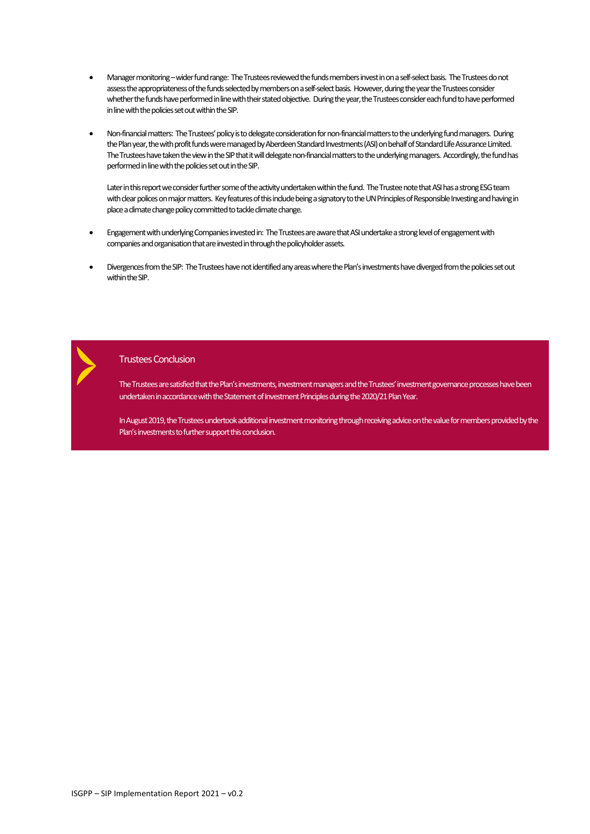- Manager monitoring wider fund range: The Trustees reviewed the funds members invest in on a self-select basis. The Trustees do not assess the appropriateness of the funds selected by members on a self-select basis. However, during the year the Trustees consider whether the funds have performed in line with theirstated objective. During the year, the Trustees consider each fund to have performed in line with the policies set out within the SIP.
- Non-financial matters: The Trustees' policy is to delegate consideration for non-financial mattersto the underlying fund managers. During the Planyear, the with profit funds were managed by Aberdeen Standard Investments(ASI) on behalf of Standard Life Assurance Limited. The Trustees have taken the view in the SIP that it will delegate non-financial matters to the underlying managers. Accordingly, the fund has performed in line with the policies set out in the SIP.

Later in this report we consider further some of the activity undertaken within the fund. The Trustee note that ASI has a strong ESG team with clear polices on major matters. Key features of this include being a signatory to the UN Principles of Responsible Investing and having in place a climate change policy committed to tackle climate change.

- Engagement with underlying Companies investedin: The Trustees are aware that ASI undertake a stronglevel of engagement with companies and organisation that are invested in through the policyholder assets.
- Divergences from the SIP: The Trustees have not identified any areas where the Plan's investments have diverged from the policies set out within the SIP.

Trustees Conclusion

The Trustees are satisfied that the Plan's investments, investment managers and the Trustees' investment governance processes have been undertaken in accordance with the Statement of Investment Principles during the 2020/21 Plan Year.

In August 2019, the Trustees undertookadditional investment monitoring through receiving advice on the value for members provided by the Plan's investments to further support this conclusion.